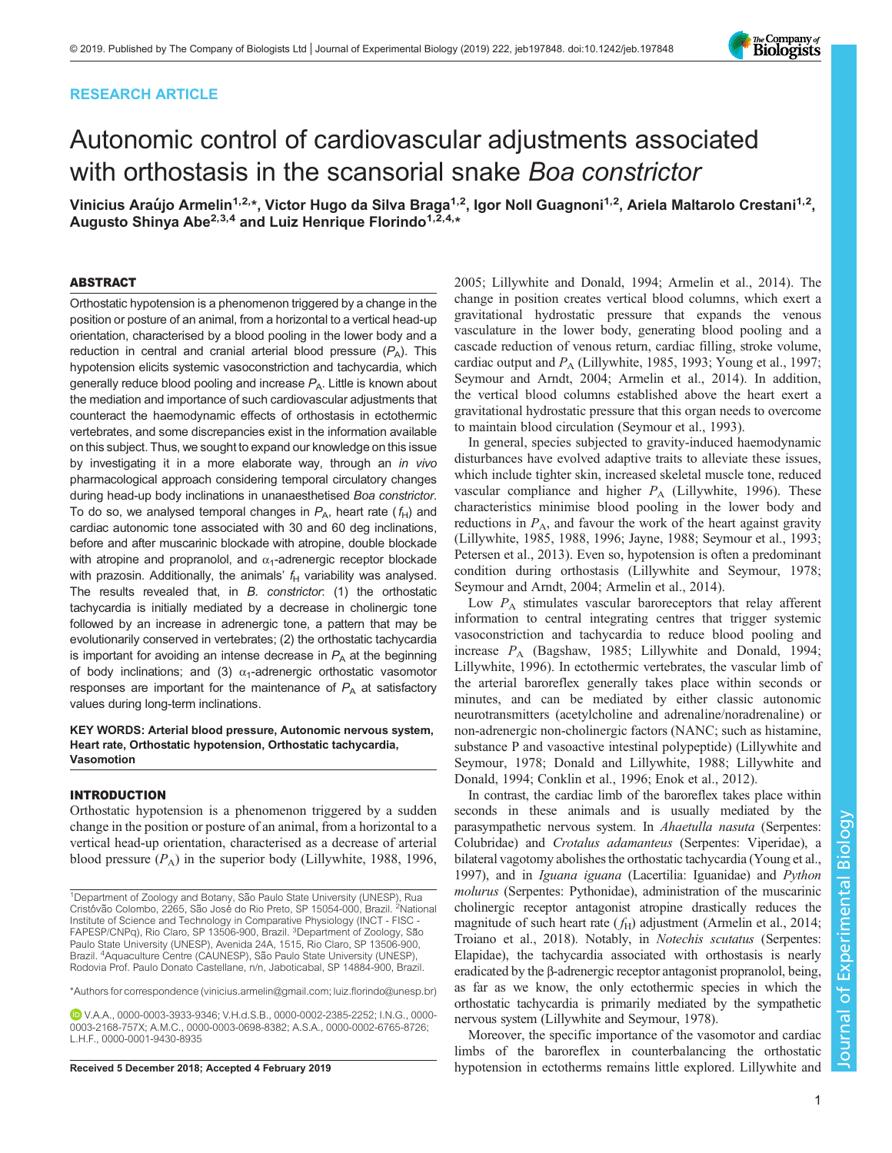## RESEARCH ARTICLE



# Autonomic control of cardiovascular adjustments associated with orthostasis in the scansorial snake Boa constrictor

Vinicius Araújo Armelin<sup>1,2,\*</sup>, Victor Hugo da Silva Braga<sup>1,2</sup>, Igor Noll Guagnoni<sup>1,2</sup>, Ariela Maltarolo Crestani<sup>1,2</sup>, Augusto Shinya Abe<sup>2,3,4</sup> and Luiz Henrique Florindo<sup>1,2,4,\*</sup>

## ABSTRACT

Orthostatic hypotension is a phenomenon triggered by a change in the position or posture of an animal, from a horizontal to a vertical head-up orientation, characterised by a blood pooling in the lower body and a reduction in central and cranial arterial blood pressure  $(P_A)$ . This hypotension elicits systemic vasoconstriction and tachycardia, which generally reduce blood pooling and increase  $P_A$ . Little is known about the mediation and importance of such cardiovascular adjustments that counteract the haemodynamic effects of orthostasis in ectothermic vertebrates, and some discrepancies exist in the information available on this subject. Thus, we sought to expand our knowledge on this issue by investigating it in a more elaborate way, through an in vivo pharmacological approach considering temporal circulatory changes during head-up body inclinations in unanaesthetised Boa constrictor. To do so, we analysed temporal changes in  $P_{A}$ , heart rate  $(f_H)$  and cardiac autonomic tone associated with 30 and 60 deg inclinations, before and after muscarinic blockade with atropine, double blockade with atropine and propranolol, and  $\alpha_1$ -adrenergic receptor blockade with prazosin. Additionally, the animals'  $f_H$  variability was analysed. The results revealed that, in B. constrictor: (1) the orthostatic tachycardia is initially mediated by a decrease in cholinergic tone followed by an increase in adrenergic tone, a pattern that may be evolutionarily conserved in vertebrates; (2) the orthostatic tachycardia is important for avoiding an intense decrease in  $P_A$  at the beginning of body inclinations; and (3)  $\alpha_1$ -adrenergic orthostatic vasomotor responses are important for the maintenance of  $P_A$  at satisfactory values during long-term inclinations.

## KEY WORDS: Arterial blood pressure, Autonomic nervous system, Heart rate, Orthostatic hypotension, Orthostatic tachycardia, Vasomotion

#### INTRODUCTION

Orthostatic hypotension is a phenomenon triggered by a sudden change in the position or posture of an animal, from a horizontal to a vertical head-up orientation, characterised as a decrease of arterial blood pressure  $(P_A)$  in the superior body ([Lillywhite, 1988](#page-9-0), [1996,](#page-9-0)

V.A.A., [0000-0003-3933-9346](http://orcid.org/0000-0003-3933-9346); V.H.d.S.B., [0000-0002-2385-2252;](http://orcid.org/0000-0002-2385-2252) I.N.G., [0000-](http://orcid.org/0000-0003-2168-757X) [0003-2168-757X](http://orcid.org/0000-0003-2168-757X); A.M.C., [0000-0003-0698-8382](http://orcid.org/0000-0003-0698-8382); A.S.A., [0000-0002-6765-8726;](http://orcid.org/0000-0002-6765-8726) L.H.F., [0000-0001-9430-8935](http://orcid.org/0000-0001-9430-8935)

[2005; Lillywhite and Donald, 1994](#page-9-0); [Armelin et al., 2014\)](#page-8-0). The change in position creates vertical blood columns, which exert a gravitational hydrostatic pressure that expands the venous vasculature in the lower body, generating blood pooling and a cascade reduction of venous return, cardiac filling, stroke volume, cardiac output and  $P_A$  ([Lillywhite, 1985, 1993; Young et al., 1997](#page-9-0); [Seymour and Arndt, 2004](#page-9-0); [Armelin et al., 2014\)](#page-8-0). In addition, the vertical blood columns established above the heart exert a gravitational hydrostatic pressure that this organ needs to overcome to maintain blood circulation [\(Seymour et al., 1993](#page-9-0)).

In general, species subjected to gravity-induced haemodynamic disturbances have evolved adaptive traits to alleviate these issues, which include tighter skin, increased skeletal muscle tone, reduced vascular compliance and higher  $P_A$  ([Lillywhite, 1996\)](#page-9-0). These characteristics minimise blood pooling in the lower body and reductions in  $P_A$ , and favour the work of the heart against gravity [\(Lillywhite, 1985](#page-9-0), [1988](#page-9-0), [1996;](#page-9-0) [Jayne, 1988](#page-8-0); [Seymour et al., 1993](#page-9-0); [Petersen et al., 2013](#page-9-0)). Even so, hypotension is often a predominant condition during orthostasis [\(Lillywhite and Seymour, 1978](#page-9-0); [Seymour and Arndt, 2004;](#page-9-0) [Armelin et al., 2014\)](#page-8-0).

Low  $P_A$  stimulates vascular baroreceptors that relay afferent information to central integrating centres that trigger systemic vasoconstriction and tachycardia to reduce blood pooling and increase P<sup>A</sup> [\(Bagshaw, 1985](#page-8-0); [Lillywhite and Donald, 1994](#page-9-0); [Lillywhite, 1996](#page-9-0)). In ectothermic vertebrates, the vascular limb of the arterial baroreflex generally takes place within seconds or minutes, and can be mediated by either classic autonomic neurotransmitters (acetylcholine and adrenaline/noradrenaline) or non-adrenergic non-cholinergic factors (NANC; such as histamine, substance P and vasoactive intestinal polypeptide) [\(Lillywhite and](#page-9-0) [Seymour, 1978;](#page-9-0) [Donald and Lillywhite, 1988](#page-8-0); [Lillywhite and](#page-9-0) [Donald, 1994;](#page-9-0) [Conklin et al., 1996; Enok et al., 2012](#page-8-0)).

In contrast, the cardiac limb of the baroreflex takes place within seconds in these animals and is usually mediated by the parasympathetic nervous system. In Ahaetulla nasuta (Serpentes: Colubridae) and Crotalus adamanteus (Serpentes: Viperidae), a bilateral vagotomy abolishes the orthostatic tachycardia [\(Young et al.,](#page-9-0) [1997\)](#page-9-0), and in Iguana iguana (Lacertilia: Iguanidae) and Python molurus (Serpentes: Pythonidae), administration of the muscarinic cholinergic receptor antagonist atropine drastically reduces the magnitude of such heart rate  $(f_H)$  adjustment ([Armelin et al., 2014](#page-8-0); [Troiano et al., 2018\)](#page-9-0). Notably, in Notechis scutatus (Serpentes: Elapidae), the tachycardia associated with orthostasis is nearly eradicated by the β-adrenergic receptor antagonist propranolol, being, as far as we know, the only ectothermic species in which the orthostatic tachycardia is primarily mediated by the sympathetic nervous system [\(Lillywhite and Seymour, 1978](#page-9-0)).

Moreover, the specific importance of the vasomotor and cardiac limbs of the baroreflex in counterbalancing the orthostatic Received 5 December 2018; Accepted 4 February 2019 hypotension in ectotherms remains little explored. [Lillywhite and](#page-9-0)

<sup>&</sup>lt;sup>1</sup>Department of Zoology and Botany, São Paulo State University (UNESP), Rua Cristóvão Colombo, 2265, São José do Rio Preto, SP 15054-000, Brazil. <sup>2</sup>National Institute of Science and Technology in Comparative Physiology (INCT - FISC - FAPESP/CNPq), Rio Claro, SP 13506-900, Brazil. <sup>3</sup>Department of Zoology, São Paulo State University (UNESP), Avenida 24A, 1515, Rio Claro, SP 13506-900, Brazil. <sup>4</sup>Aquaculture Centre (CAUNESP), São Paulo State University (UNESP), Rodovia Prof. Paulo Donato Castellane, n/n, Jaboticabal, SP 14884-900, Brazil.

<sup>\*</sup>Authors for correspondence [\(vinicius.armelin@gmail.com;](mailto:vinicius.armelin@gmail.com) [luiz.florindo@unesp.br\)](mailto:luiz.florindo@unesp.br)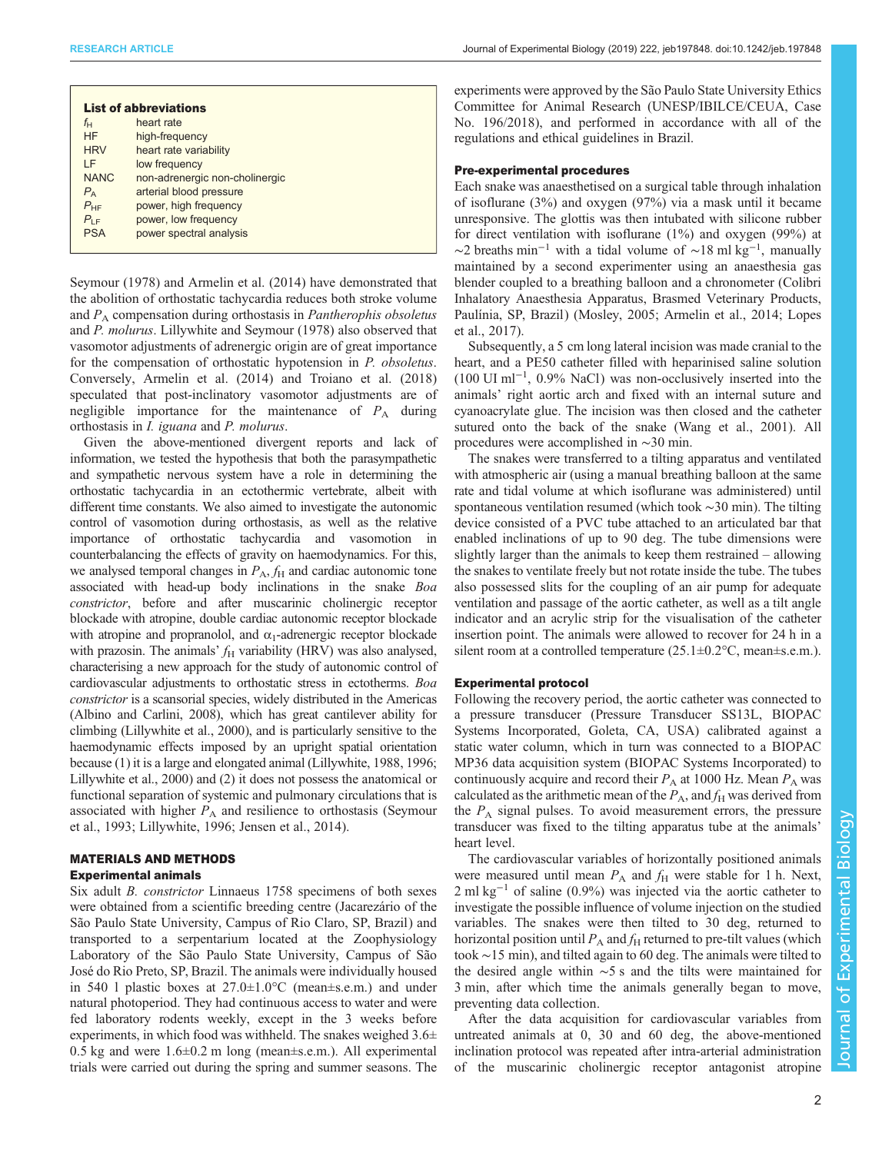| <b>List of abbreviations</b> |                                |
|------------------------------|--------------------------------|
| $f_{\mathsf{H}}$             | heart rate                     |
| <b>HF</b>                    | high-frequency                 |
| <b>HRV</b>                   | heart rate variability         |
| ΙF                           | low frequency                  |
| <b>NANC</b>                  | non-adrenergic non-cholinergic |
| $P_{\rm A}$                  | arterial blood pressure        |
| $P_{HF}$                     | power, high frequency          |
| $P_{LE}$                     | power, low frequency           |
| <b>PSA</b>                   | power spectral analysis        |
|                              |                                |

[Seymour \(1978\)](#page-9-0) and [Armelin et al. \(2014\)](#page-8-0) have demonstrated that the abolition of orthostatic tachycardia reduces both stroke volume and  $P_A$  compensation during orthostasis in *Pantherophis obsoletus* and P. molurus. [Lillywhite and Seymour \(1978\)](#page-9-0) also observed that vasomotor adjustments of adrenergic origin are of great importance for the compensation of orthostatic hypotension in P. obsoletus. Conversely, [Armelin et al. \(2014\)](#page-8-0) and [Troiano et al. \(2018\)](#page-9-0) speculated that post-inclinatory vasomotor adjustments are of negligible importance for the maintenance of  $P_A$  during orthostasis in I. iguana and P. molurus.

Given the above-mentioned divergent reports and lack of information, we tested the hypothesis that both the parasympathetic and sympathetic nervous system have a role in determining the orthostatic tachycardia in an ectothermic vertebrate, albeit with different time constants. We also aimed to investigate the autonomic control of vasomotion during orthostasis, as well as the relative importance of orthostatic tachycardia and vasomotion in counterbalancing the effects of gravity on haemodynamics. For this, we analysed temporal changes in  $P_A$ ,  $f_H$  and cardiac autonomic tone associated with head-up body inclinations in the snake Boa constrictor, before and after muscarinic cholinergic receptor blockade with atropine, double cardiac autonomic receptor blockade with atropine and propranolol, and  $\alpha_1$ -adrenergic receptor blockade with prazosin. The animals'  $f_H$  variability (HRV) was also analysed, characterising a new approach for the study of autonomic control of cardiovascular adjustments to orthostatic stress in ectotherms. Boa constrictor is a scansorial species, widely distributed in the Americas [\(Albino and Carlini, 2008](#page-8-0)), which has great cantilever ability for climbing [\(Lillywhite et al., 2000](#page-9-0)), and is particularly sensitive to the haemodynamic effects imposed by an upright spatial orientation because (1) it is a large and elongated animal [\(Lillywhite, 1988, 1996](#page-9-0); [Lillywhite et al., 2000](#page-9-0)) and (2) it does not possess the anatomical or functional separation of systemic and pulmonary circulations that is associated with higher  $P_A$  and resilience to orthostasis [\(Seymour](#page-9-0) [et al., 1993; Lillywhite, 1996](#page-9-0); [Jensen et al., 2014\)](#page-9-0).

## MATERIALS AND METHODS

#### Experimental animals

Six adult B. constrictor Linnaeus 1758 specimens of both sexes were obtained from a scientific breeding centre (Jacarezário of the São Paulo State University, Campus of Rio Claro, SP, Brazil) and transported to a serpentarium located at the Zoophysiology Laboratory of the São Paulo State University, Campus of São José do Rio Preto, SP, Brazil. The animals were individually housed in 540 l plastic boxes at 27.0±1.0°C (mean±s.e.m.) and under natural photoperiod. They had continuous access to water and were fed laboratory rodents weekly, except in the 3 weeks before experiments, in which food was withheld. The snakes weighed  $3.6\pm$ 0.5 kg and were 1.6±0.2 m long (mean±s.e.m.). All experimental trials were carried out during the spring and summer seasons. The

experiments were approved by the São Paulo State University Ethics Committee for Animal Research (UNESP/IBILCE/CEUA, Case No. 196/2018), and performed in accordance with all of the regulations and ethical guidelines in Brazil.

## Pre-experimental procedures

Each snake was anaesthetised on a surgical table through inhalation of isoflurane (3%) and oxygen (97%) via a mask until it became unresponsive. The glottis was then intubated with silicone rubber for direct ventilation with isoflurane (1%) and oxygen (99%) at  $\sim$ 2 breaths min<sup>-1</sup> with a tidal volume of  $\sim$ 18 ml kg<sup>-1</sup>, manually maintained by a second experimenter using an anaesthesia gas blender coupled to a breathing balloon and a chronometer (Colibri Inhalatory Anaesthesia Apparatus, Brasmed Veterinary Products, Paulínia, SP, Brazil) [\(Mosley, 2005;](#page-9-0) [Armelin et al., 2014;](#page-8-0) [Lopes](#page-9-0) [et al., 2017\)](#page-9-0).

Subsequently, a 5 cm long lateral incision was made cranial to the heart, and a PE50 catheter filled with heparinised saline solution (100 UI ml−<sup>1</sup> , 0.9% NaCl) was non-occlusively inserted into the animals' right aortic arch and fixed with an internal suture and cyanoacrylate glue. The incision was then closed and the catheter sutured onto the back of the snake ([Wang et al., 2001](#page-9-0)). All procedures were accomplished in ∼30 min.

The snakes were transferred to a tilting apparatus and ventilated with atmospheric air (using a manual breathing balloon at the same rate and tidal volume at which isoflurane was administered) until spontaneous ventilation resumed (which took ∼30 min). The tilting device consisted of a PVC tube attached to an articulated bar that enabled inclinations of up to 90 deg. The tube dimensions were slightly larger than the animals to keep them restrained – allowing the snakes to ventilate freely but not rotate inside the tube. The tubes also possessed slits for the coupling of an air pump for adequate ventilation and passage of the aortic catheter, as well as a tilt angle indicator and an acrylic strip for the visualisation of the catheter insertion point. The animals were allowed to recover for 24 h in a silent room at a controlled temperature (25.1±0.2°C, mean±s.e.m.).

## Experimental protocol

Following the recovery period, the aortic catheter was connected to a pressure transducer (Pressure Transducer SS13L, BIOPAC Systems Incorporated, Goleta, CA, USA) calibrated against a static water column, which in turn was connected to a BIOPAC MP36 data acquisition system (BIOPAC Systems Incorporated) to continuously acquire and record their  $P_A$  at 1000 Hz. Mean  $P_A$  was calculated as the arithmetic mean of the  $P_A$ , and  $f_H$  was derived from the  $P_A$  signal pulses. To avoid measurement errors, the pressure transducer was fixed to the tilting apparatus tube at the animals' heart level.

The cardiovascular variables of horizontally positioned animals were measured until mean  $P_A$  and  $f_H$  were stable for 1 h. Next,  $2 \text{ ml kg}^{-1}$  of saline (0.9%) was injected via the aortic catheter to investigate the possible influence of volume injection on the studied variables. The snakes were then tilted to 30 deg, returned to horizontal position until  $P_A$  and  $f_H$  returned to pre-tilt values (which took ∼15 min), and tilted again to 60 deg. The animals were tilted to the desired angle within ∼5 s and the tilts were maintained for 3 min, after which time the animals generally began to move, preventing data collection.

After the data acquisition for cardiovascular variables from untreated animals at 0, 30 and 60 deg, the above-mentioned inclination protocol was repeated after intra-arterial administration of the muscarinic cholinergic receptor antagonist atropine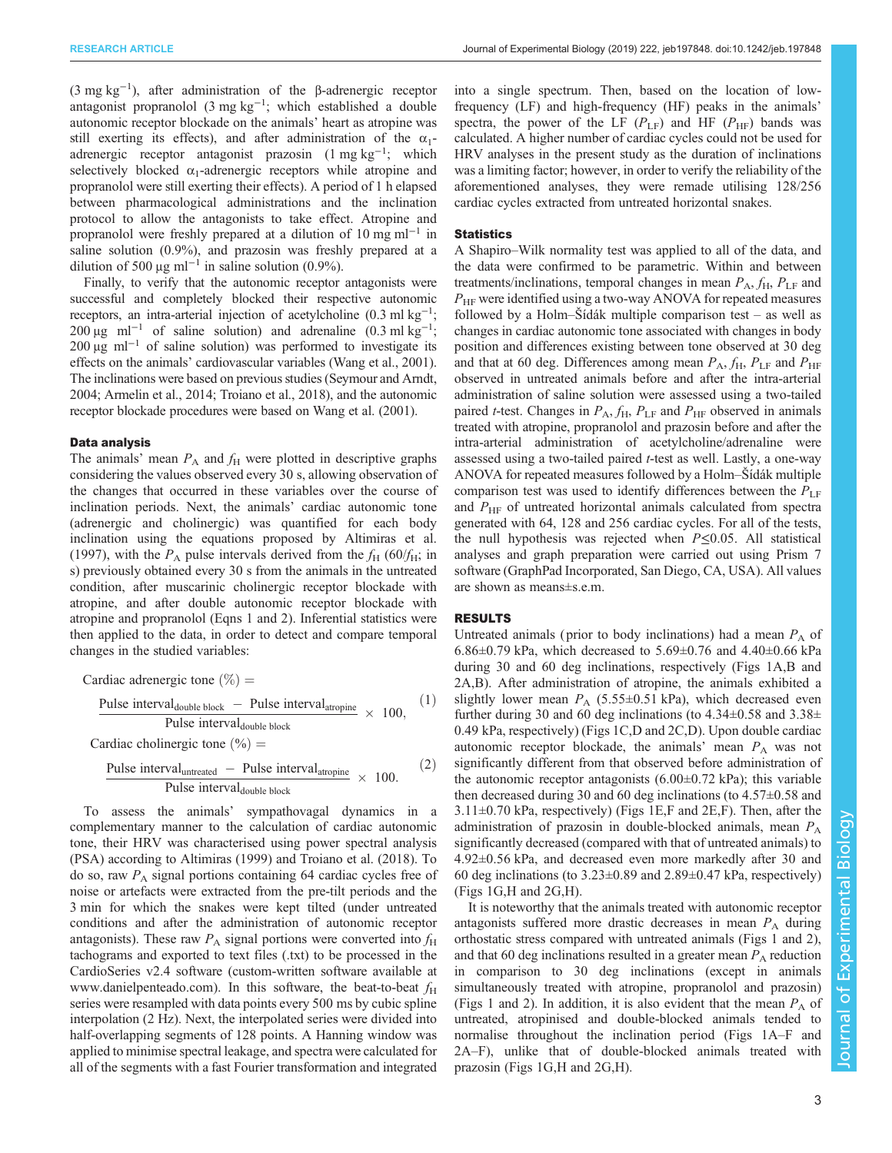(3 mg kg<sup>-1</sup>), after administration of the β-adrenergic receptor antagonist propranolol (3 mg kg−<sup>1</sup> ; which established a double autonomic receptor blockade on the animals' heart as atropine was still exerting its effects), and after administration of the  $\alpha_1$ adrenergic receptor antagonist prazosin (1 mg kg<sup>-1</sup>; which selectively blocked  $\alpha_1$ -adrenergic receptors while atropine and propranolol were still exerting their effects). A period of 1 h elapsed between pharmacological administrations and the inclination protocol to allow the antagonists to take effect. Atropine and propranolol were freshly prepared at a dilution of 10 mg ml<sup> $-1$ </sup> in saline solution (0.9%), and prazosin was freshly prepared at a dilution of 500 μg ml<sup>-1</sup> in saline solution (0.9%).

Finally, to verify that the autonomic receptor antagonists were successful and completely blocked their respective autonomic receptors, an intra-arterial injection of acetylcholine (0.3 ml kg<sup>-1</sup>; 200 μg ml<sup>-1</sup> of saline solution) and adrenaline  $(0.3 \text{ ml kg}^{-1})$ ; 200 μg ml−<sup>1</sup> of saline solution) was performed to investigate its effects on the animals' cardiovascular variables ([Wang et al., 2001\)](#page-9-0). The inclinations were based on previous studies ([Seymour and Arndt,](#page-9-0) [2004;](#page-9-0) [Armelin et al., 2014](#page-8-0); [Troiano et al., 2018\)](#page-9-0), and the autonomic receptor blockade procedures were based on [Wang et al. \(2001\).](#page-9-0)

## Data analysis

The animals' mean  $P_A$  and  $f_H$  were plotted in descriptive graphs considering the values observed every 30 s, allowing observation of the changes that occurred in these variables over the course of inclination periods. Next, the animals' cardiac autonomic tone (adrenergic and cholinergic) was quantified for each body inclination using the equations proposed by [Altimiras et al.](#page-8-0) [\(1997\)](#page-8-0), with the  $P_A$  pulse intervals derived from the  $f_H$  (60/ $f_H$ ; in s) previously obtained every 30 s from the animals in the untreated condition, after muscarinic cholinergic receptor blockade with atropine, and after double autonomic receptor blockade with atropine and propranolol (Eqns 1 and 2). Inferential statistics were then applied to the data, in order to detect and compare temporal changes in the studied variables:

Cardiac adrenergic tone (
$$
\%
$$
) =  
\n
$$
\frac{\text{Pulse interval}_{\text{double block}} - \text{Pulse interval}_{\text{atropine}}}{\text{Pulse interval}_{\text{double block}}} \times 100,
$$
\n(1)

Cardiac cholinergic tone  $\left(\% \right)$  =

$$
\frac{\text{Pulse interval}_{\text{untracted}} - \text{Pulse interval}_{\text{atropic}}}{\text{Pulse interval}_{\text{double block}}} \times 100. \tag{2}
$$

To assess the animals' sympathovagal dynamics in a complementary manner to the calculation of cardiac autonomic tone, their HRV was characterised using power spectral analysis (PSA) according to [Altimiras \(1999\)](#page-8-0) and [Troiano et al. \(2018\).](#page-9-0) To do so, raw  $P_A$  signal portions containing 64 cardiac cycles free of noise or artefacts were extracted from the pre-tilt periods and the 3 min for which the snakes were kept tilted (under untreated conditions and after the administration of autonomic receptor antagonists). These raw  $P_A$  signal portions were converted into  $f_H$ tachograms and exported to text files (.txt) to be processed in the CardioSeries v2.4 software (custom-written software available at [www.danielpenteado.com](http://www.danielpenteado.com)). In this software, the beat-to-beat  $f_H$ series were resampled with data points every 500 ms by cubic spline interpolation (2 Hz). Next, the interpolated series were divided into half-overlapping segments of 128 points. A Hanning window was applied to minimise spectral leakage, and spectra were calculated for all of the segments with a fast Fourier transformation and integrated

into a single spectrum. Then, based on the location of lowfrequency (LF) and high-frequency (HF) peaks in the animals' spectra, the power of the LF  $(P_{LF})$  and HF  $(P_{HF})$  bands was calculated. A higher number of cardiac cycles could not be used for HRV analyses in the present study as the duration of inclinations was a limiting factor; however, in order to verify the reliability of the aforementioned analyses, they were remade utilising 128/256 cardiac cycles extracted from untreated horizontal snakes.

## **Statistics**

A Shapiro–Wilk normality test was applied to all of the data, and the data were confirmed to be parametric. Within and between treatments/inclinations, temporal changes in mean  $P_A$ ,  $f_H$ ,  $P_{LF}$  and  $P_{\text{HF}}$  were identified using a two-way ANOVA for repeated measures followed by a Holm–Šídák multiple comparison test – as well as changes in cardiac autonomic tone associated with changes in body position and differences existing between tone observed at 30 deg and that at 60 deg. Differences among mean  $P_A$ ,  $f_H$ ,  $P_{LF}$  and  $P_{HF}$ observed in untreated animals before and after the intra-arterial administration of saline solution were assessed using a two-tailed paired *t*-test. Changes in  $P_A$ ,  $f_H$ ,  $P_{LF}$  and  $P_{HF}$  observed in animals treated with atropine, propranolol and prazosin before and after the intra-arterial administration of acetylcholine/adrenaline were assessed using a two-tailed paired t-test as well. Lastly, a one-way ANOVA for repeated measures followed by a Holm–Šídák multiple comparison test was used to identify differences between the  $P_{LF}$ and  $P_{HF}$  of untreated horizontal animals calculated from spectra generated with 64, 128 and 256 cardiac cycles. For all of the tests, the null hypothesis was rejected when  $P \le 0.05$ . All statistical analyses and graph preparation were carried out using Prism 7 software (GraphPad Incorporated, San Diego, CA, USA). All values are shown as means±s.e.m.

## RESULTS

Untreated animals (prior to body inclinations) had a mean  $P_A$  of 6.86±0.79 kPa, which decreased to 5.69±0.76 and 4.40±0.66 kPa during 30 and 60 deg inclinations, respectively ([Figs 1A](#page-3-0),B and [2A](#page-4-0),B). After administration of atropine, the animals exhibited a slightly lower mean  $P_A$  (5.55±0.51 kPa), which decreased even further during 30 and 60 deg inclinations (to  $4.34\pm0.58$  and  $3.38\pm$ 0.49 kPa, respectively) [\(Figs 1](#page-3-0)C,D and [2](#page-4-0)C,D). Upon double cardiac autonomic receptor blockade, the animals' mean  $P_A$  was not significantly different from that observed before administration of the autonomic receptor antagonists  $(6.00\pm0.72 \text{ kPa})$ ; this variable then decreased during 30 and 60 deg inclinations (to 4.57±0.58 and  $3.11\pm0.70$  kPa, respectively) ([Figs 1E](#page-3-0),F and [2E](#page-4-0),F). Then, after the administration of prazosin in double-blocked animals, mean  $P_A$ significantly decreased (compared with that of untreated animals) to 4.92±0.56 kPa, and decreased even more markedly after 30 and 60 deg inclinations (to  $3.23\pm0.89$  and  $2.89\pm0.47$  kPa, respectively) [\(Figs 1G](#page-3-0),H and [2G](#page-4-0),H).

It is noteworthy that the animals treated with autonomic receptor antagonists suffered more drastic decreases in mean  $P_A$  during orthostatic stress compared with untreated animals [\(Figs 1](#page-3-0) and [2\)](#page-4-0), and that 60 deg inclinations resulted in a greater mean  $P_A$  reduction in comparison to 30 deg inclinations (except in animals simultaneously treated with atropine, propranolol and prazosin) [\(Figs 1](#page-3-0) and [2](#page-4-0)). In addition, it is also evident that the mean  $P_A$  of untreated, atropinised and double-blocked animals tended to normalise throughout the inclination period [\(Figs 1](#page-3-0)A–F and [2A](#page-4-0)–F), unlike that of double-blocked animals treated with prazosin [\(Figs 1](#page-3-0)G,H and [2G](#page-4-0),H).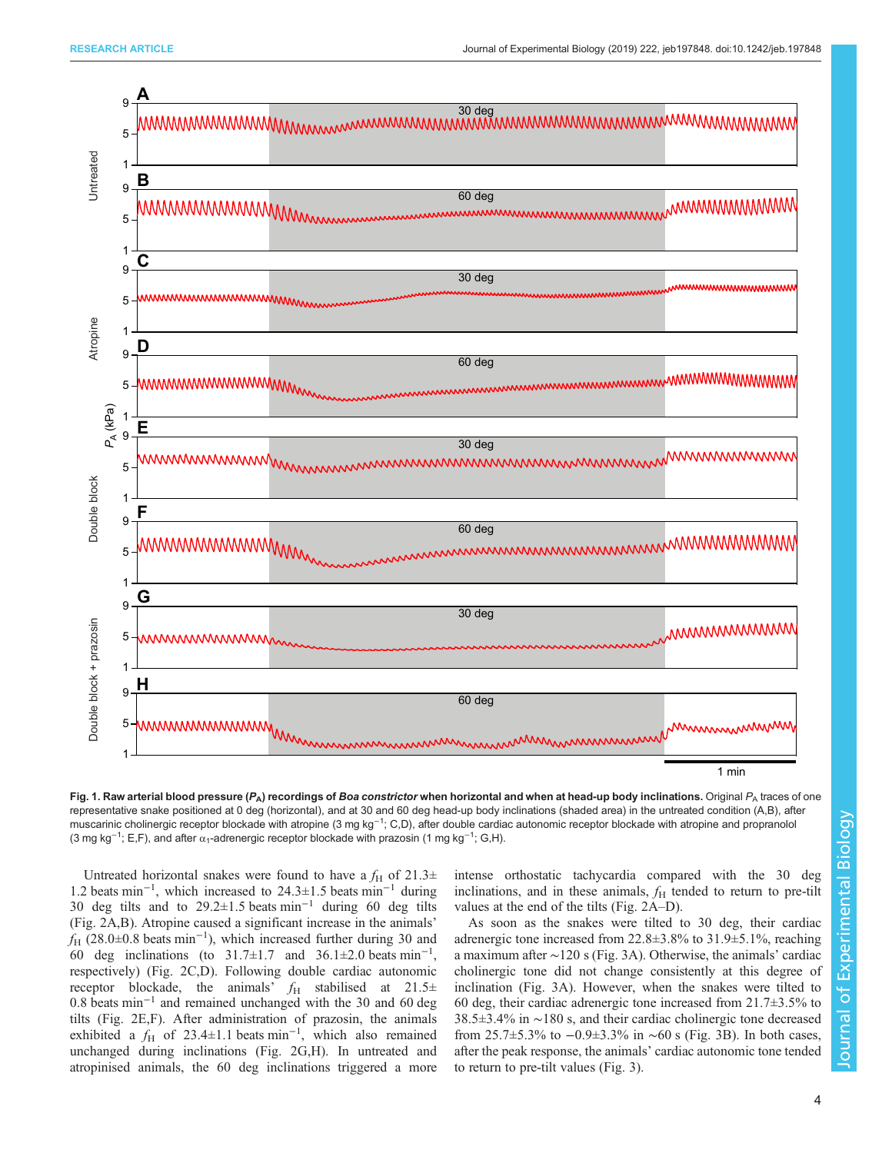<span id="page-3-0"></span>

Fig. 1. Raw arterial blood pressure ( $P_A$ ) recordings of Boa constrictor when horizontal and when at head-up body inclinations. Original  $P_A$  traces of one representative snake positioned at 0 deg (horizontal), and at 30 and 60 deg head-up body inclinations (shaded area) in the untreated condition (A,B), after muscarinic cholinergic receptor blockade with atropine (3 mg kg<sup>−1</sup>; C,D), after double cardiac autonomic receptor blockade with atropine and propranolol (3 mg kg<sup>-1</sup>; E,F), and after  $\alpha_1$ -adrenergic receptor blockade with prazosin (1 mg kg<sup>-1</sup>; G,H).

Untreated horizontal snakes were found to have a  $f_H$  of 21.3 $\pm$ 1.2 beats min−<sup>1</sup> , which increased to 24.3±1.5 beats min−<sup>1</sup> during 30 deg tilts and to 29.2±1.5 beats min−<sup>1</sup> during 60 deg tilts [\(Fig. 2](#page-4-0)A,B). Atropine caused a significant increase in the animals'  $f_{\text{H}}$  (28.0±0.8 beats min<sup>-1</sup>), which increased further during 30 and 60 deg inclinations (to  $31.7 \pm 1.7$  and  $36.1 \pm 2.0$  beats min<sup>-1</sup>, respectively) ([Fig. 2C](#page-4-0),D). Following double cardiac autonomic receptor blockade, the animals'  $f_H$  stabilised at 21.5 $\pm$ 0.8 beats min−<sup>1</sup> and remained unchanged with the 30 and 60 deg tilts [\(Fig. 2E](#page-4-0),F). After administration of prazosin, the animals exhibited a  $f_H$  of 23.4±1.1 beats min<sup>-1</sup>, which also remained unchanged during inclinations ([Fig. 2](#page-4-0)G,H). In untreated and atropinised animals, the 60 deg inclinations triggered a more intense orthostatic tachycardia compared with the 30 deg inclinations, and in these animals,  $f_H$  tended to return to pre-tilt values at the end of the tilts ([Fig. 2](#page-4-0)A–D).

As soon as the snakes were tilted to 30 deg, their cardiac adrenergic tone increased from 22.8±3.8% to 31.9±5.1%, reaching a maximum after ∼120 s ([Fig. 3](#page-5-0)A). Otherwise, the animals' cardiac cholinergic tone did not change consistently at this degree of inclination [\(Fig. 3A](#page-5-0)). However, when the snakes were tilted to 60 deg, their cardiac adrenergic tone increased from  $21.7\pm3.5\%$  to 38.5±3.4% in ∼180 s, and their cardiac cholinergic tone decreased from 25.7±5.3% to −0.9±3.3% in ∼60 s [\(Fig. 3](#page-5-0)B). In both cases, after the peak response, the animals' cardiac autonomic tone tended to return to pre-tilt values [\(Fig. 3\)](#page-5-0).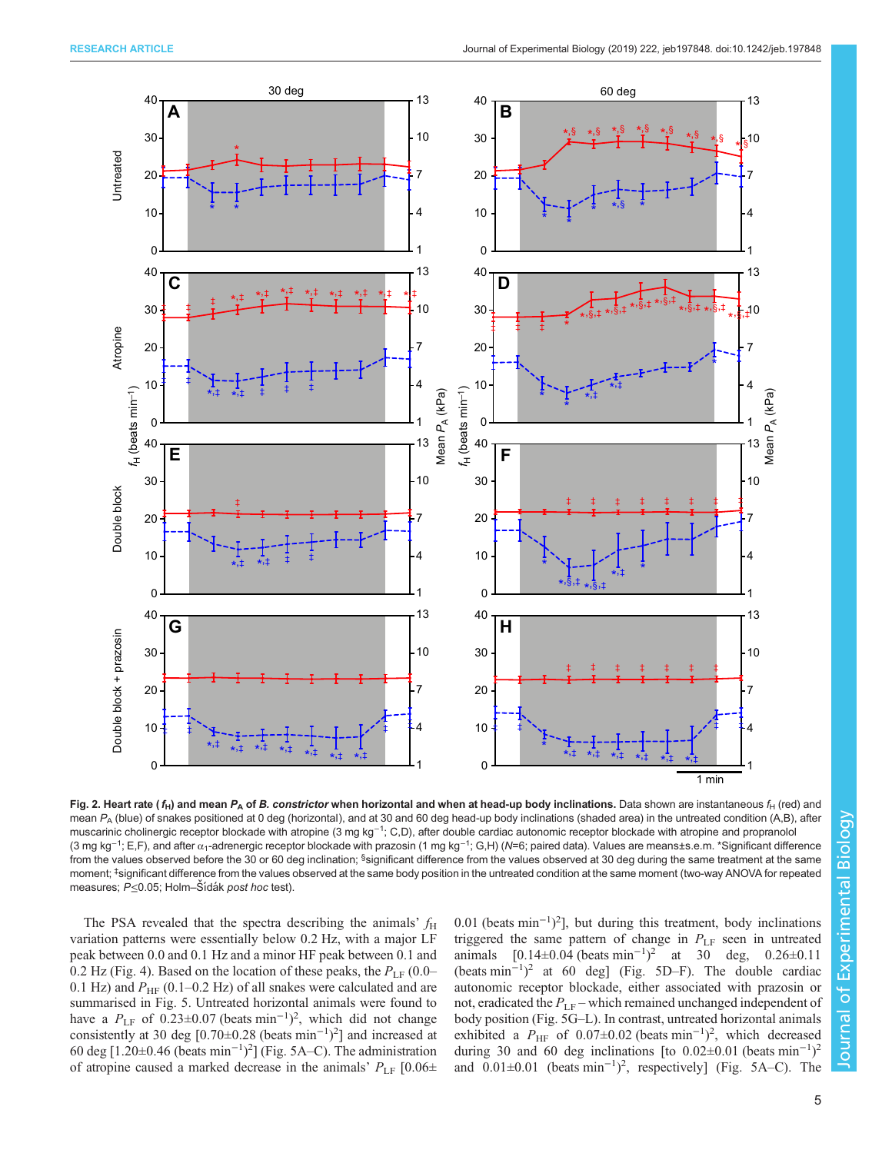<span id="page-4-0"></span>

Journal of Experimental BiologyJournal of Experimental Biology

Fig. 2. Heart rate ( $f_H$ ) and mean  $P_A$  of B. constrictor when horizontal and when at head-up body inclinations. Data shown are instantaneous  $f_H$  (red) and mean  $P_A$  (blue) of snakes positioned at 0 deg (horizontal), and at 30 and 60 deg head-up body inclinations (shaded area) in the untreated condition (A,B), after muscarinic cholinergic receptor blockade with atropine (3 mg kg<sup>−1</sup>; C,D), after double cardiac autonomic receptor blockade with atropine and propranolol (3 mg kg<sup>−1</sup>; E,F), and after α<sub>1</sub>-adrenergic receptor blockade with prazosin (1 mg kg<sup>−1</sup>; G,H) (*N*=6; paired data). Values are means±s.e.m. \*Significant difference from the values observed before the 30 or 60 deg inclination; <sup>§</sup>significant difference from the values observed at 30 deg during the same treatment at the same moment; <sup>‡</sup>significant difference from the values observed at the same body position in the untreated condition at the same moment (two-way ANOVA for repeated measures; P≤0.05; Holm–Šídák post hoc test).

The PSA revealed that the spectra describing the animals'  $f_H$ variation patterns were essentially below 0.2 Hz, with a major LF peak between 0.0 and 0.1 Hz and a minor HF peak between 0.1 and 0.2 Hz ([Fig. 4\)](#page-6-0). Based on the location of these peaks, the  $P_{LF}$  (0.0– 0.1 Hz) and  $P_{\text{HF}}$  (0.1–0.2 Hz) of all snakes were calculated and are summarised in [Fig. 5](#page-7-0). Untreated horizontal animals were found to have a  $P_{LF}$  of 0.23±0.07 (beats min<sup>-1</sup>)<sup>2</sup>, which did not change consistently at 30 deg [0.70±0.28 (beats min−<sup>1</sup> ) 2 ] and increased at 60 deg [1.20±0.46 (beats  $min^{-1}$ )<sup>2</sup>] [\(Fig. 5A](#page-7-0)–C). The administration of atropine caused a marked decrease in the animals'  $P_{LF}$  [0.06 $\pm$ 

0.01 (beats min−<sup>1</sup> ) 2 ], but during this treatment, body inclinations triggered the same pattern of change in  $P_{LF}$  seen in untreated animals  $[0.14 \pm 0.04 \text{ (beats min}^{-1})^2 \text{ at } 30 \text{ deg}, 0.26 \pm 0.11$ (beats min−<sup>1</sup> ) <sup>2</sup> at 60 deg] [\(Fig. 5D](#page-7-0)–F). The double cardiac autonomic receptor blockade, either associated with prazosin or not, eradicated the  $P_{LF}$  – which remained unchanged independent of body position [\(Fig. 5](#page-7-0)G–L). In contrast, untreated horizontal animals exhibited a  $P_{\text{HF}}$  of 0.07±0.02 (beats min<sup>-1</sup>)<sup>2</sup>, which decreased during 30 and 60 deg inclinations [to  $0.02 \pm 0.01$  (beats min<sup>-1</sup>)<sup>2</sup> and  $0.01 \pm 0.01$  (beats min<sup>-1</sup>)<sup>2</sup>, respectively] ([Fig. 5](#page-7-0)A–C). The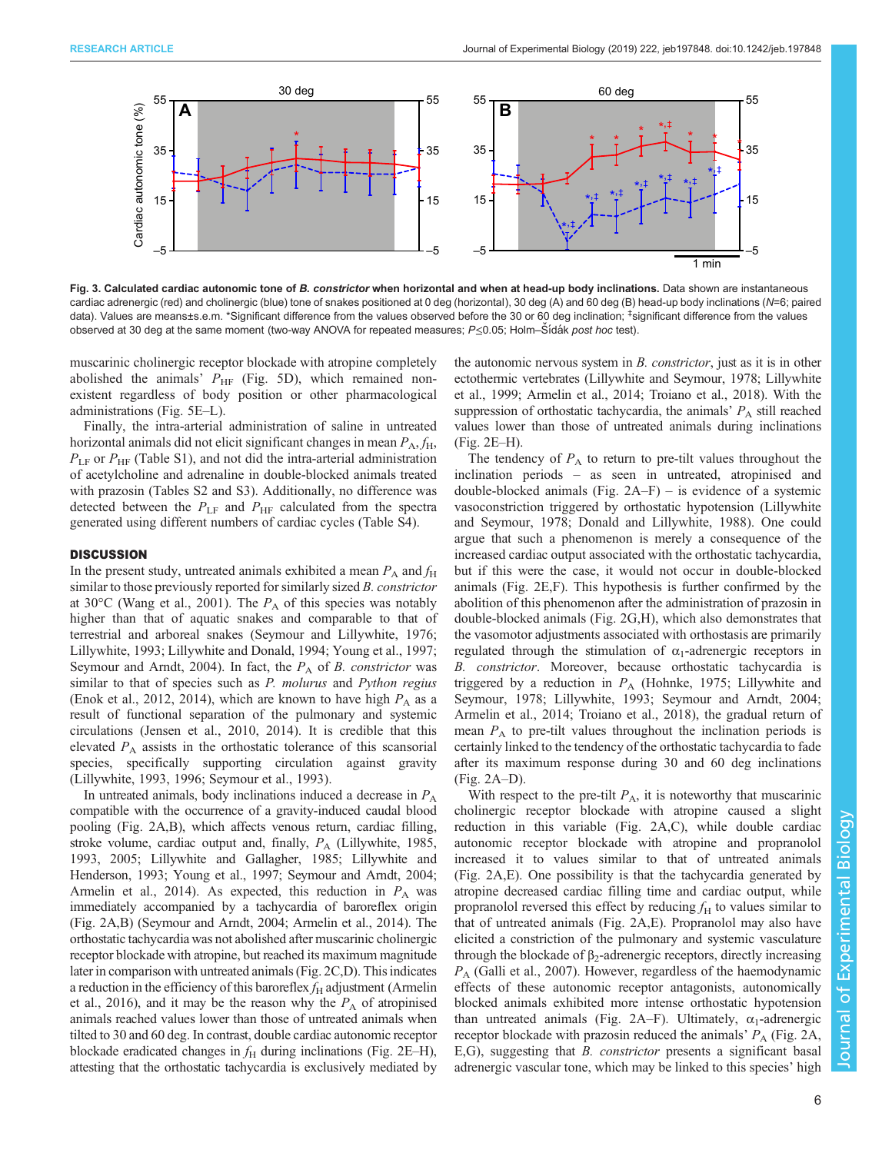<span id="page-5-0"></span>

Fig. 3. Calculated cardiac autonomic tone of B. constrictor when horizontal and when at head-up body inclinations. Data shown are instantaneous cardiac adrenergic (red) and cholinergic (blue) tone of snakes positioned at 0 deg (horizontal), 30 deg (A) and 60 deg (B) head-up body inclinations (N=6; paired data). Values are means±s.e.m. \*Significant difference from the values observed before the 30 or 60 deg inclination; ‡ significant difference from the values observed at 30 deg at the same moment (two-way ANOVA for repeated measures; P≤0.05; Holm–Šídák post hoc test).

muscarinic cholinergic receptor blockade with atropine completely abolished the animals'  $P_{HF}$  [\(Fig. 5D](#page-6-0)), which remained nonexistent regardless of body position or other pharmacological administrations [\(Fig. 5E](#page-7-0)–L).

Finally, the intra-arterial administration of saline in untreated horizontal animals did not elicit significant changes in mean  $P_A$ ,  $f_H$ ,  $P_{LF}$  or  $P_{HF}$  [\(Table S1](http://jeb.biologists.org/lookup/doi/10.1242/jeb.197848.supplemental)), and not did the intra-arterial administration of acetylcholine and adrenaline in double-blocked animals treated with prazosin [\(Tables S2 and S3](http://jeb.biologists.org/lookup/doi/10.1242/jeb.197848.supplemental)). Additionally, no difference was detected between the  $P_{\text{LF}}$  and  $P_{\text{HF}}$  calculated from the spectra generated using different numbers of cardiac cycles [\(Table S4\)](http://jeb.biologists.org/lookup/doi/10.1242/jeb.197848.supplemental).

## **DISCUSSION**

In the present study, untreated animals exhibited a mean  $P_A$  and  $f_H$ similar to those previously reported for similarly sized B. constrictor at 30 $^{\circ}$ C [\(Wang et al., 2001\)](#page-9-0). The  $P_A$  of this species was notably higher than that of aquatic snakes and comparable to that of terrestrial and arboreal snakes ([Seymour and Lillywhite, 1976](#page-9-0); [Lillywhite, 1993; Lillywhite and Donald, 1994; Young et al., 1997](#page-9-0); [Seymour and Arndt, 2004](#page-9-0)). In fact, the  $P_A$  of B. constrictor was similar to that of species such as P. molurus and Python regius [\(Enok et al., 2012, 2014](#page-8-0)), which are known to have high  $P_A$  as a result of functional separation of the pulmonary and systemic circulations [\(Jensen et al., 2010, 2014\)](#page-9-0). It is credible that this elevated  $P_A$  assists in the orthostatic tolerance of this scansorial species, specifically supporting circulation against gravity [\(Lillywhite, 1993](#page-9-0), [1996](#page-9-0); [Seymour et al., 1993\)](#page-9-0).

In untreated animals, body inclinations induced a decrease in  $P_A$ compatible with the occurrence of a gravity-induced caudal blood pooling [\(Fig. 2A](#page-4-0),B), which affects venous return, cardiac filling, stroke volume, cardiac output and, finally,  $P_A$  [\(Lillywhite, 1985,](#page-9-0) [1993, 2005](#page-9-0); [Lillywhite and Gallagher, 1985](#page-9-0); [Lillywhite and](#page-9-0) [Henderson, 1993; Young et al., 1997](#page-9-0); [Seymour and Arndt, 2004](#page-9-0); [Armelin et al., 2014\)](#page-8-0). As expected, this reduction in  $P_A$  was immediately accompanied by a tachycardia of baroreflex origin [\(Fig. 2](#page-4-0)A,B) ([Seymour and Arndt, 2004;](#page-9-0) [Armelin et al., 2014](#page-8-0)). The orthostatic tachycardia was not abolished after muscarinic cholinergic receptor blockade with atropine, but reached its maximum magnitude later in comparison with untreated animals [\(Fig. 2](#page-4-0)C,D). This indicates a reduction in the efficiency of this baroreflex  $f_H$  adjustment [\(Armelin](#page-8-0) [et al., 2016\)](#page-8-0), and it may be the reason why the  $P_A$  of atropinised animals reached values lower than those of untreated animals when tilted to 30 and 60 deg. In contrast, double cardiac autonomic receptor blockade eradicated changes in  $f<sub>H</sub>$  during inclinations [\(Fig. 2E](#page-4-0)–H), attesting that the orthostatic tachycardia is exclusively mediated by

the autonomic nervous system in B. constrictor, just as it is in other ectothermic vertebrates [\(Lillywhite and Seymour, 1978; Lillywhite](#page-9-0) [et al., 1999;](#page-9-0) [Armelin et al., 2014;](#page-8-0) [Troiano et al., 2018\)](#page-9-0). With the suppression of orthostatic tachycardia, the animals'  $P_A$  still reached values lower than those of untreated animals during inclinations [\(Fig. 2E](#page-4-0)–H).

The tendency of  $P_A$  to return to pre-tilt values throughout the inclination periods – as seen in untreated, atropinised and double-blocked animals (Fig.  $2A-F$ ) – is evidence of a systemic vasoconstriction triggered by orthostatic hypotension ([Lillywhite](#page-9-0) [and Seymour, 1978](#page-9-0); [Donald and Lillywhite, 1988\)](#page-8-0). One could argue that such a phenomenon is merely a consequence of the increased cardiac output associated with the orthostatic tachycardia, but if this were the case, it would not occur in double-blocked animals ([Fig. 2](#page-4-0)E,F). This hypothesis is further confirmed by the abolition of this phenomenon after the administration of prazosin in double-blocked animals [\(Fig. 2G](#page-4-0),H), which also demonstrates that the vasomotor adjustments associated with orthostasis are primarily regulated through the stimulation of  $\alpha_1$ -adrenergic receptors in B. constrictor. Moreover, because orthostatic tachycardia is triggered by a reduction in  $P_A$  [\(Hohnke, 1975](#page-8-0); [Lillywhite and](#page-9-0) [Seymour, 1978; Lillywhite, 1993; Seymour and Arndt, 2004](#page-9-0); [Armelin et al., 2014](#page-8-0); [Troiano et al., 2018\)](#page-9-0), the gradual return of mean  $P_A$  to pre-tilt values throughout the inclination periods is certainly linked to the tendency of the orthostatic tachycardia to fade after its maximum response during 30 and 60 deg inclinations [\(Fig. 2](#page-4-0)A–D).

With respect to the pre-tilt  $P_A$ , it is noteworthy that muscarinic cholinergic receptor blockade with atropine caused a slight reduction in this variable ([Fig. 2](#page-4-0)A,C), while double cardiac autonomic receptor blockade with atropine and propranolol increased it to values similar to that of untreated animals [\(Fig. 2A](#page-4-0),E). One possibility is that the tachycardia generated by atropine decreased cardiac filling time and cardiac output, while propranolol reversed this effect by reducing  $f_H$  to values similar to that of untreated animals [\(Fig. 2](#page-4-0)A,E). Propranolol may also have elicited a constriction of the pulmonary and systemic vasculature through the blockade of β<sub>2</sub>-adrenergic receptors, directly increasing  $P_A$  ([Galli et al., 2007](#page-8-0)). However, regardless of the haemodynamic effects of these autonomic receptor antagonists, autonomically blocked animals exhibited more intense orthostatic hypotension than untreated animals ([Fig. 2A](#page-4-0)–F). Ultimately,  $\alpha_1$ -adrenergic receptor blockade with prazosin reduced the animals'  $P_A$  ([Fig. 2A](#page-4-0), E,G), suggesting that B. constrictor presents a significant basal adrenergic vascular tone, which may be linked to this species' high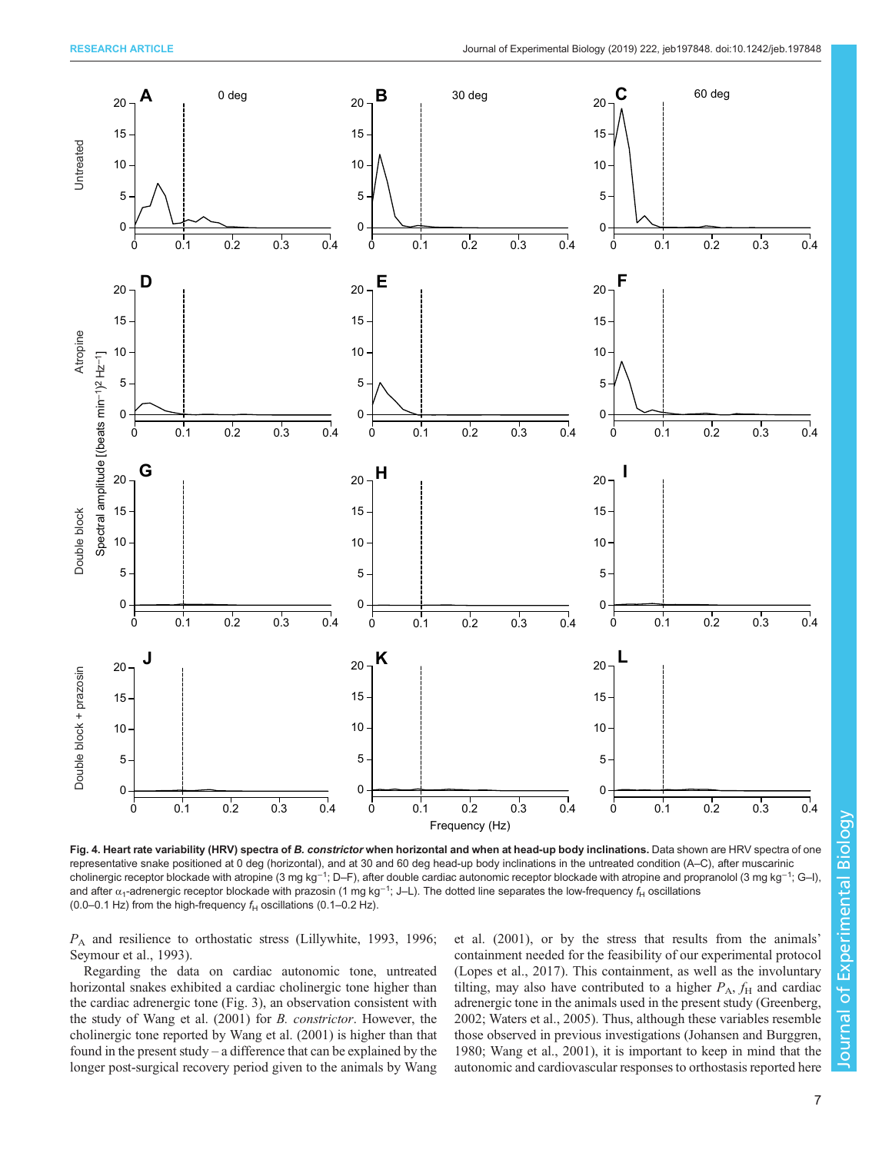<span id="page-6-0"></span>

Fig. 4. Heart rate variability (HRV) spectra of B. constrictor when horizontal and when at head-up body inclinations. Data shown are HRV spectra of one representative snake positioned at 0 deg (horizontal), and at 30 and 60 deg head-up body inclinations in the untreated condition (A–C), after muscarinic cholinergic receptor blockade with atropine (3 mg kg<sup>-1</sup>; D–F), after double cardiac autonomic receptor blockade with atropine and propranolol (3 mg kg<sup>-1</sup>; G–I), and after  $\alpha_1$ -adrenergic receptor blockade with prazosin (1 mg kg<sup>–1</sup>; J–L). The dotted line separates the low-frequency  $f_\mathsf{H}$  oscillations (0.0–0.1 Hz) from the high-frequency  $f_H$  oscillations (0.1–0.2 Hz).

P<sup>A</sup> and resilience to orthostatic stress [\(Lillywhite, 1993](#page-9-0), [1996](#page-9-0); [Seymour et al., 1993\)](#page-9-0).

Regarding the data on cardiac autonomic tone, untreated horizontal snakes exhibited a cardiac cholinergic tone higher than the cardiac adrenergic tone [\(Fig. 3\)](#page-5-0), an observation consistent with the study of [Wang et al. \(2001\)](#page-9-0) for B. constrictor. However, the cholinergic tone reported by [Wang et al. \(2001\)](#page-9-0) is higher than that found in the present study – a difference that can be explained by the longer post-surgical recovery period given to the animals by [Wang](#page-9-0) [et al. \(2001\),](#page-9-0) or by the stress that results from the animals' containment needed for the feasibility of our experimental protocol [\(Lopes et al., 2017\)](#page-9-0). This containment, as well as the involuntary tilting, may also have contributed to a higher  $P_A$ ,  $f_H$  and cardiac adrenergic tone in the animals used in the present study [\(Greenberg,](#page-8-0) [2002;](#page-8-0) [Waters et al., 2005\)](#page-9-0). Thus, although these variables resemble those observed in previous investigations ([Johansen and Burggren,](#page-9-0) [1980; Wang et al., 2001\)](#page-9-0), it is important to keep in mind that the autonomic and cardiovascular responses to orthostasis reported here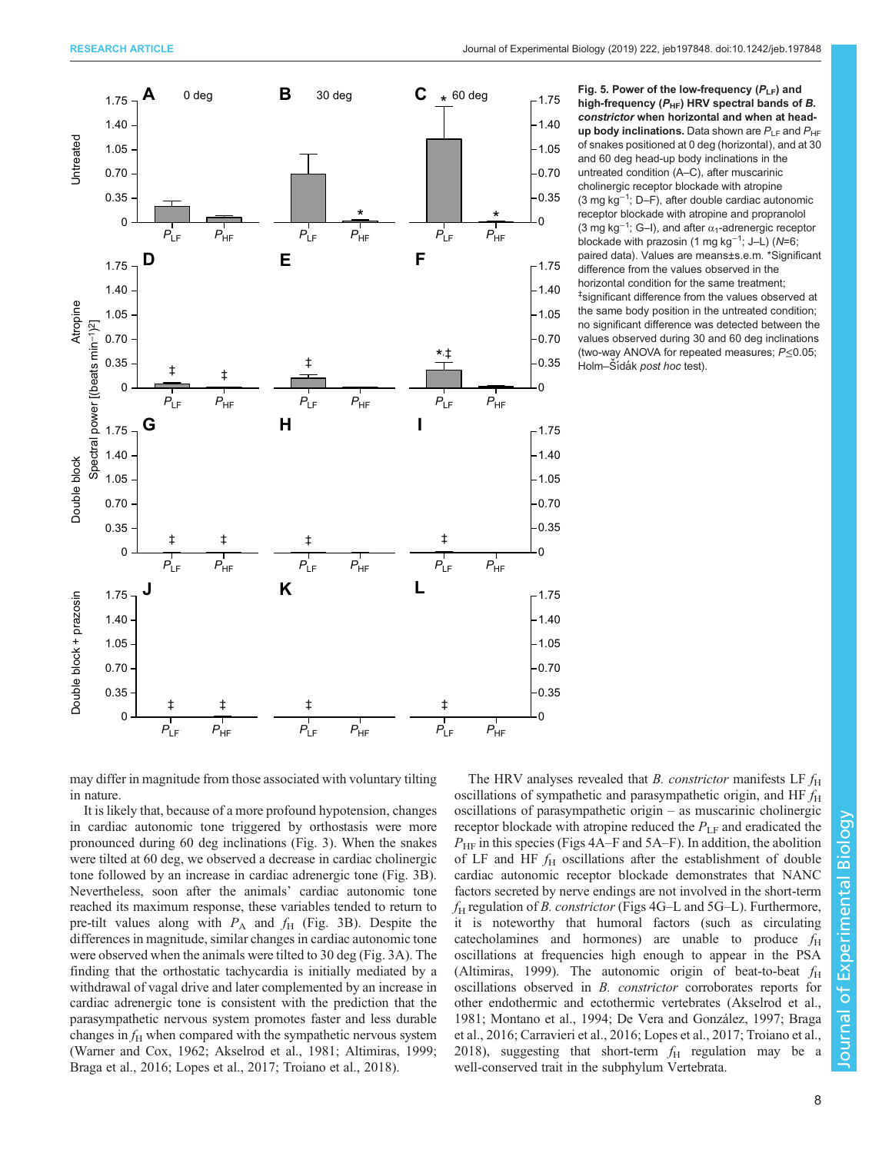<span id="page-7-0"></span>

Fig. 5. Power of the low-frequency  $(P_{LF})$  and high-frequency ( $P_{HF}$ ) HRV spectral bands of B. constrictor when horizontal and when at headup body inclinations. Data shown are  $P_{\text{LE}}$  and  $P_{\text{HE}}$ of snakes positioned at 0 deg (horizontal), and at 30 and 60 deg head-up body inclinations in the untreated condition (A–C), after muscarinic cholinergic receptor blockade with atropine (3 mg kg−<sup>1</sup> ; D–F), after double cardiac autonomic receptor blockade with atropine and propranolol (3 mg kg<sup>-1</sup>; G–I), and after  $\alpha_1$ -adrenergic receptor blockade with prazosin (1 mg kg<sup>-1</sup>; J–L) (N=6; paired data). Values are means±s.e.m. \*Significant difference from the values observed in the horizontal condition for the same treatment; ‡ significant difference from the values observed at the same body position in the untreated condition; no significant difference was detected between the values observed during 30 and 60 deg inclinations (two-way ANOVA for repeated measures; P≤0.05; Holm–Šídák post hoc test).

may differ in magnitude from those associated with voluntary tilting in nature.

It is likely that, because of a more profound hypotension, changes in cardiac autonomic tone triggered by orthostasis were more pronounced during 60 deg inclinations [\(Fig. 3\)](#page-5-0). When the snakes were tilted at 60 deg, we observed a decrease in cardiac cholinergic tone followed by an increase in cardiac adrenergic tone ([Fig. 3](#page-5-0)B). Nevertheless, soon after the animals' cardiac autonomic tone reached its maximum response, these variables tended to return to pre-tilt values along with  $P_A$  and  $f_H$  ([Fig. 3](#page-5-0)B). Despite the differences in magnitude, similar changes in cardiac autonomic tone were observed when the animals were tilted to 30 deg ([Fig. 3](#page-5-0)A). The finding that the orthostatic tachycardia is initially mediated by a withdrawal of vagal drive and later complemented by an increase in cardiac adrenergic tone is consistent with the prediction that the parasympathetic nervous system promotes faster and less durable changes in  $f_H$  when compared with the sympathetic nervous system [\(Warner and Cox, 1962;](#page-9-0) [Akselrod et al., 1981; Altimiras, 1999](#page-8-0); [Braga et al., 2016;](#page-8-0) [Lopes et al., 2017](#page-9-0); [Troiano et al., 2018](#page-9-0)).

The HRV analyses revealed that *B. constrictor* manifests LF  $f<sub>H</sub>$ oscillations of sympathetic and parasympathetic origin, and HF  $f_H$ oscillations of parasympathetic origin – as muscarinic cholinergic receptor blockade with atropine reduced the  $P_{LF}$  and eradicated the  $P_{\text{HF}}$  in this species ([Figs 4A](#page-6-0)–F and 5A–F). In addition, the abolition of LF and HF  $f_{\rm H}$  oscillations after the establishment of double cardiac autonomic receptor blockade demonstrates that NANC factors secreted by nerve endings are not involved in the short-term  $f_H$  regulation of *B. constrictor* ([Figs 4G](#page-6-0)–L and 5G–L). Furthermore, it is noteworthy that humoral factors (such as circulating cate cholamines and hormones) are unable to produce  $f_{\rm H}$ oscillations at frequencies high enough to appear in the PSA [\(Altimiras, 1999\)](#page-8-0). The autonomic origin of beat-to-beat  $f_H$ oscillations observed in B. constrictor corroborates reports for other endothermic and ectothermic vertebrates [\(Akselrod et al.,](#page-8-0) [1981;](#page-8-0) [Montano et al., 1994;](#page-9-0) [De Vera and González, 1997; Braga](#page-8-0) [et al., 2016; Carravieri et al., 2016;](#page-8-0) [Lopes et al., 2017](#page-9-0); [Troiano et al.,](#page-9-0) [2018\)](#page-9-0), suggesting that short-term  $f_{\rm H}$  regulation may be well-conserved trait in the subphylum Vertebrata.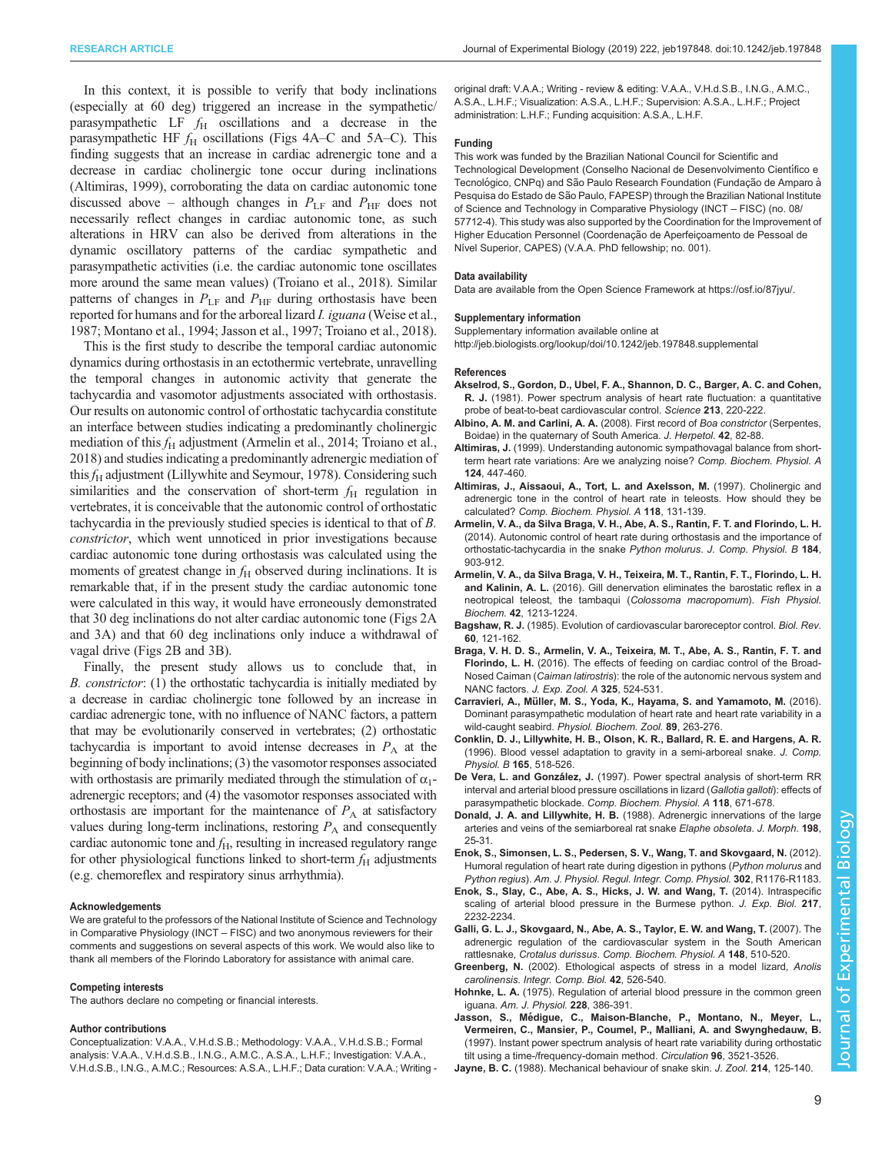<span id="page-8-0"></span>In this context, it is possible to verify that body inclinations (especially at 60 deg) triggered an increase in the sympathetic/ parasympathetic LF  $f_H$  oscillations and a decrease in the parasympathetic HF  $f<sub>H</sub>$  oscillations ([Figs 4A](#page-6-0)–C and [5A](#page-7-0)–C). This finding suggests that an increase in cardiac adrenergic tone and a decrease in cardiac cholinergic tone occur during inclinations (Altimiras, 1999), corroborating the data on cardiac autonomic tone discussed above – although changes in  $P_{LF}$  and  $P_{HF}$  does not necessarily reflect changes in cardiac autonomic tone, as such alterations in HRV can also be derived from alterations in the dynamic oscillatory patterns of the cardiac sympathetic and parasympathetic activities (i.e. the cardiac autonomic tone oscillates more around the same mean values) [\(Troiano et al., 2018\)](#page-9-0). Similar patterns of changes in  $P_{LF}$  and  $P_{HF}$  during orthostasis have been reported for humans and for the arboreal lizard *I. iguana* [\(Weise et al.,](#page-9-0) [1987; Montano et al., 1994](#page-9-0); Jasson et al., 1997; [Troiano et al., 2018\)](#page-9-0).

This is the first study to describe the temporal cardiac autonomic dynamics during orthostasis in an ectothermic vertebrate, unravelling the temporal changes in autonomic activity that generate the tachycardia and vasomotor adjustments associated with orthostasis. Our results on autonomic control of orthostatic tachycardia constitute an interface between studies indicating a predominantly cholinergic mediation of this  $f_H$  adjustment (Armelin et al., 2014; [Troiano et al.,](#page-9-0) [2018\)](#page-9-0) and studies indicating a predominantly adrenergic mediation of this  $f_H$  adjustment ([Lillywhite and Seymour, 1978](#page-9-0)). Considering such similarities and the conservation of short-term  $f_H$  regulation in vertebrates, it is conceivable that the autonomic control of orthostatic tachycardia in the previously studied species is identical to that of B. constrictor, which went unnoticed in prior investigations because cardiac autonomic tone during orthostasis was calculated using the moments of greatest change in  $f<sub>H</sub>$  observed during inclinations. It is remarkable that, if in the present study the cardiac autonomic tone were calculated in this way, it would have erroneously demonstrated that 30 deg inclinations do not alter cardiac autonomic tone [\(Figs 2](#page-4-0)A and [3A](#page-5-0)) and that 60 deg inclinations only induce a withdrawal of vagal drive ([Figs 2](#page-4-0)B and [3B](#page-5-0)).

Finally, the present study allows us to conclude that, in B. constrictor: (1) the orthostatic tachycardia is initially mediated by a decrease in cardiac cholinergic tone followed by an increase in cardiac adrenergic tone, with no influence of NANC factors, a pattern that may be evolutionarily conserved in vertebrates; (2) orthostatic tachycardia is important to avoid intense decreases in  $P_A$  at the beginning of body inclinations; (3) the vasomotor responses associated with orthostasis are primarily mediated through the stimulation of  $\alpha_1$ adrenergic receptors; and (4) the vasomotor responses associated with orthostasis are important for the maintenance of  $P_A$  at satisfactory values during long-term inclinations, restoring  $P_A$  and consequently cardiac autonomic tone and  $f_{\rm H}$ , resulting in increased regulatory range for other physiological functions linked to short-term  $f_{\rm H}$  adjustments (e.g. chemoreflex and respiratory sinus arrhythmia).

#### Acknowledgements

We are grateful to the professors of the National Institute of Science and Technology in Comparative Physiology (INCT – FISC) and two anonymous reviewers for their comments and suggestions on several aspects of this work. We would also like to thank all members of the Florindo Laboratory for assistance with animal care.

#### Competing interests

The authors declare no competing or financial interests.

#### Author contributions

Conceptualization: V.A.A., V.H.d.S.B.; Methodology: V.A.A., V.H.d.S.B.; Formal analysis: V.A.A., V.H.d.S.B., I.N.G., A.M.C., A.S.A., L.H.F.; Investigation: V.A.A., V.H.d.S.B., I.N.G., A.M.C.; Resources: A.S.A., L.H.F.; Data curation: V.A.A.; Writing - original draft: V.A.A.; Writing - review & editing: V.A.A., V.H.d.S.B., I.N.G., A.M.C., A.S.A., L.H.F.; Visualization: A.S.A., L.H.F.; Supervision: A.S.A., L.H.F.; Project administration: L.H.F.; Funding acquisition: A.S.A., L.H.F.

#### Funding

This work was funded by the Brazilian National Council for Scientific and Technological Development (Conselho Nacional de Desenvolvimento Científico e Tecnológico, CNPq) and São Paulo Research Foundation (Fundação de Amparo à Pesquisa do Estado de São Paulo, FAPESP) through the Brazilian National Institute of Science and Technology in Comparative Physiology (INCT – FISC) (no. 08/ 57712-4). This study was also supported by the Coordination for the Improvement of Higher Education Personnel (Coordenação de Aperfeiçoamento de Pessoal de Nível Superior, CAPES) (V.A.A. PhD fellowship; no. 001).

#### Data availability

Data are available from the Open Science Framework at<https://osf.io/87jyu/>.

#### Supplementary information

Supplementary information available online at

<http://jeb.biologists.org/lookup/doi/10.1242/jeb.197848.supplemental>

#### References

- [Akselrod, S., Gordon, D., Ubel, F. A., Shannon, D. C., Barger, A. C. and Cohen,](https://doi.org/10.1126/science.6166045) R. J. [\(1981\). Power spectrum analysis of heart rate fluctuation: a quantitative](https://doi.org/10.1126/science.6166045) [probe of beat-to-beat cardiovascular control.](https://doi.org/10.1126/science.6166045) Science 213, 220-222.
- [Albino, A. M. and Carlini, A. A.](https://doi.org/10.1670/07-124R1.1) (2008). First record of Boa constrictor (Serpentes, [Boidae\) in the quaternary of South America.](https://doi.org/10.1670/07-124R1.1) J. Herpetol. 42, 82-88.
- Altimiras, J. [\(1999\). Understanding autonomic sympathovagal balance from short](https://doi.org/10.1016/S1095-6433(99)00137-3)[term heart rate variations: Are we analyzing noise?](https://doi.org/10.1016/S1095-6433(99)00137-3) Comp. Biochem. Physiol. A 124[, 447-460.](https://doi.org/10.1016/S1095-6433(99)00137-3)
- [Altimiras, J., Aissaoui, A., Tort, L. and Axelsson, M.](https://doi.org/10.1016/S0300-9629(96)00402-1) (1997). Cholinergic and [adrenergic tone in the control of heart rate in teleosts. How should they be](https://doi.org/10.1016/S0300-9629(96)00402-1) calculated? [Comp. Biochem. Physiol. A](https://doi.org/10.1016/S0300-9629(96)00402-1) 118, 131-139.
- [Armelin, V. A., da Silva Braga, V. H., Abe, A. S., Rantin, F. T. and Florindo, L. H.](https://doi.org/10.1007/s00360-014-0841-0) [\(2014\). Autonomic control of heart rate during orthostasis and the importance of](https://doi.org/10.1007/s00360-014-0841-0) [orthostatic-tachycardia in the snake](https://doi.org/10.1007/s00360-014-0841-0) Python molurus. J. Comp. Physiol. B 184, [903-912.](https://doi.org/10.1007/s00360-014-0841-0)
- [Armelin, V. A., da Silva Braga, V. H., Teixeira, M. T., Rantin, F. T., Florindo, L. H.](https://doi.org/10.1007/s10695-016-0211-9) and Kalinin, A. L. [\(2016\). Gill denervation eliminates the barostatic reflex in a](https://doi.org/10.1007/s10695-016-0211-9) [neotropical teleost, the tambaqui \(](https://doi.org/10.1007/s10695-016-0211-9)Colossoma macropomum). Fish Physiol. Biochem. 42[, 1213-1224.](https://doi.org/10.1007/s10695-016-0211-9)
- Bagshaw, R. J. [\(1985\). Evolution of cardiovascular baroreceptor control.](https://doi.org/10.1111/j.1469-185X.1985.tb00713.x) Biol. Rev. 60[, 121-162.](https://doi.org/10.1111/j.1469-185X.1985.tb00713.x)
- [Braga, V. H. D. S., Armelin, V. A., Teixeira, M. T., Abe, A. S., Rantin, F. T. and](https://doi.org/10.1002/jez.2036) Florindo, L. H. [\(2016\). The effects of feeding on cardiac control of the Broad-](https://doi.org/10.1002/jez.2036)Nosed Caiman (Caiman latirostris[\): the role of the autonomic nervous system and](https://doi.org/10.1002/jez.2036) NANC factors. [J. Exp. Zool. A](https://doi.org/10.1002/jez.2036) 325, 524-531.
- Carravieri, A., Mü[ller, M. S., Yoda, K., Hayama, S. and Yamamoto, M.](https://doi.org/10.1086/686894) (2016). [Dominant parasympathetic modulation of heart rate and heart rate variability in a](https://doi.org/10.1086/686894) wild-caught seabird. [Physiol. Biochem. Zool.](https://doi.org/10.1086/686894) 89, 263-276.
- [Conklin, D. J., Lillywhite, H. B., Olson, K. R., Ballard, R. E. and Hargens, A. R.](https://doi.org/10.1007/BF00387512) [\(1996\). Blood vessel adaptation to gravity in a semi-arboreal snake.](https://doi.org/10.1007/BF00387512) J. Comp. Physiol. B 165[, 518-526.](https://doi.org/10.1007/BF00387512)
- De Vera, L. and González, J. [\(1997\). Power spectral analysis of short-term RR](https://doi.org/10.1016/S0300-9629(96)00463-X) [interval and arterial blood pressure oscillations in lizard \(](https://doi.org/10.1016/S0300-9629(96)00463-X)Gallotia galloti): effects of parasympathetic blockade. [Comp. Biochem. Physiol. A](https://doi.org/10.1016/S0300-9629(96)00463-X) 118, 671-678.
- Donald, J. A. and Lillywhite, H. B. [\(1988\). Adrenergic innervations of the large](https://doi.org/10.1002/jmor.1051980104) [arteries and veins of the semiarboreal rat snake](https://doi.org/10.1002/jmor.1051980104) Elaphe obsoleta. J. Morph. 198, [25-31.](https://doi.org/10.1002/jmor.1051980104)
- [Enok, S., Simonsen, L. S., Pedersen, S. V., Wang, T. and Skovgaard, N.](https://doi.org/10.1152/ajpregu.00661.2011) (2012). [Humoral regulation of heart rate during digestion in pythons \(](https://doi.org/10.1152/ajpregu.00661.2011)Python molurus and Python regius). [Am. J. Physiol. Regul. Integr. Comp. Physiol.](https://doi.org/10.1152/ajpregu.00661.2011) 302, R1176-R1183.
- [Enok, S., Slay, C., Abe, A. S., Hicks, J. W. and Wang, T.](https://doi.org/10.1242/jeb.099226) (2014). Intraspecific [scaling of arterial blood pressure in the Burmese python.](https://doi.org/10.1242/jeb.099226) J. Exp. Biol. 217, [2232-2234.](https://doi.org/10.1242/jeb.099226)
- [Galli, G. L. J., Skovgaard, N., Abe, A. S., Taylor, E. W. and Wang, T.](https://doi.org/10.1016/j.cbpa.2007.06.420) (2007). The [adrenergic regulation of the cardiovascular system in the South American](https://doi.org/10.1016/j.cbpa.2007.06.420) rattlesnake, Crotalus durissus. [Comp. Biochem. Physiol. A](https://doi.org/10.1016/j.cbpa.2007.06.420) 148, 510-520.
- Greenberg, N. [\(2002\). Ethological aspects of stress in a model lizard,](https://doi.org/10.1093/icb/42.3.526) Anolis carolinensis. [Integr. Comp. Biol.](https://doi.org/10.1093/icb/42.3.526) 42, 526-540.
- Hohnke, L. A. [\(1975\). Regulation of arterial blood pressure in the common green](https://doi.org/10.1152/ajplegacy.1975.228.2.386) iguana. [Am. J. Physiol.](https://doi.org/10.1152/ajplegacy.1975.228.2.386) 228, 386-391.
- Jasson, S., Mé[digue, C., Maison-Blanche, P., Montano, N., Meyer, L.,](https://doi.org/10.1161/01.CIR.96.10.3521) [Vermeiren, C., Mansier, P., Coumel, P., Malliani, A. and Swynghedauw, B.](https://doi.org/10.1161/01.CIR.96.10.3521) [\(1997\). Instant power spectrum analysis of heart rate variability during orthostatic](https://doi.org/10.1161/01.CIR.96.10.3521) [tilt using a time-/frequency-domain method.](https://doi.org/10.1161/01.CIR.96.10.3521) Circulation 96, 3521-3526.
- Jayne, B. C. [\(1988\). Mechanical behaviour of snake skin.](https://doi.org/10.1111/j.1469-7998.1988.tb04991.x) J. Zool. 214, 125-140.